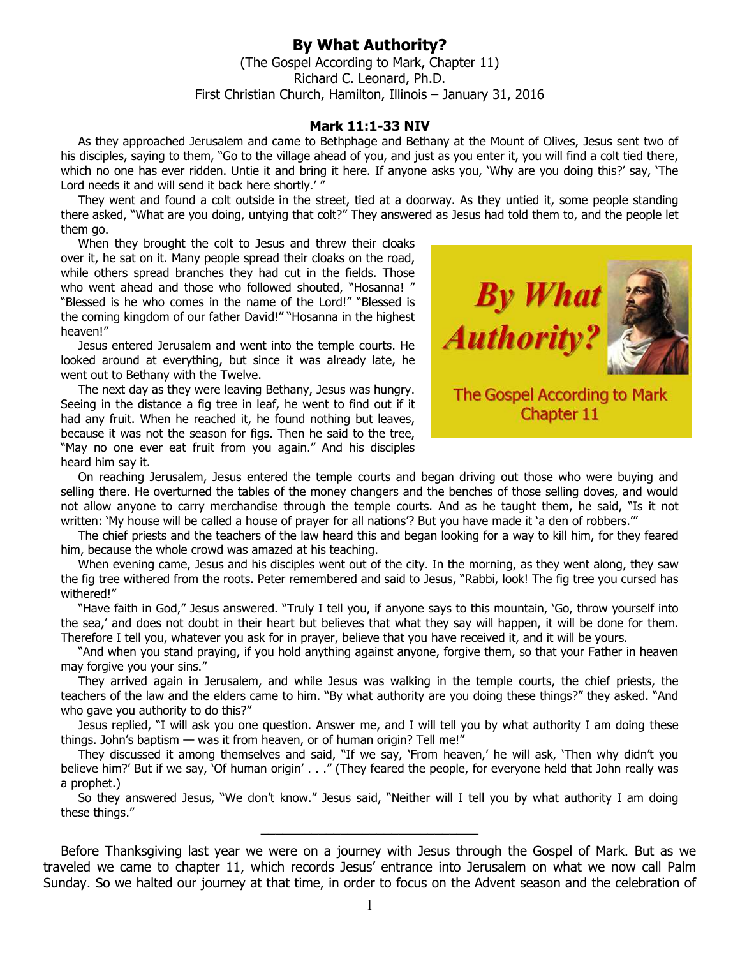## **By What Authority?**  (The Gospel According to Mark, Chapter 11) Richard C. Leonard, Ph.D. First Christian Church, Hamilton, Illinois – January 31, 2016

## **Mark 11:1-33 NIV**

As they approached Jerusalem and came to Bethphage and Bethany at the Mount of Olives, Jesus sent two of his disciples, saying to them, "Go to the village ahead of you, and just as you enter it, you will find a colt tied there, which no one has ever ridden. Untie it and bring it here. If anyone asks you, 'Why are you doing this?' say, 'The Lord needs it and will send it back here shortly.' "

They went and found a colt outside in the street, tied at a doorway. As they untied it, some people standing there asked, "What are you doing, untying that colt?" They answered as Jesus had told them to, and the people let them go.

When they brought the colt to Jesus and threw their cloaks over it, he sat on it. Many people spread their cloaks on the road, while others spread branches they had cut in the fields. Those who went ahead and those who followed shouted, "Hosanna! " "Blessed is he who comes in the name of the Lord!" "Blessed is the coming kingdom of our father David!" "Hosanna in the highest heaven!"

Jesus entered Jerusalem and went into the temple courts. He looked around at everything, but since it was already late, he went out to Bethany with the Twelve.

The next day as they were leaving Bethany, Jesus was hungry. Seeing in the distance a fig tree in leaf, he went to find out if it had any fruit. When he reached it, he found nothing but leaves, because it was not the season for figs. Then he said to the tree, "May no one ever eat fruit from you again." And his disciples heard him say it.



## Chapter 11

On reaching Jerusalem, Jesus entered the temple courts and began driving out those who were buying and selling there. He overturned the tables of the money changers and the benches of those selling doves, and would not allow anyone to carry merchandise through the temple courts. And as he taught them, he said, "Is it not written: 'My house will be called a house of prayer for all nations'? But you have made it 'a den of robbers.'"

The chief priests and the teachers of the law heard this and began looking for a way to kill him, for they feared him, because the whole crowd was amazed at his teaching.

When evening came, Jesus and his disciples went out of the city. In the morning, as they went along, they saw the fig tree withered from the roots. Peter remembered and said to Jesus, "Rabbi, look! The fig tree you cursed has withered!"

"Have faith in God," Jesus answered. "Truly I tell you, if anyone says to this mountain, 'Go, throw yourself into the sea,' and does not doubt in their heart but believes that what they say will happen, it will be done for them. Therefore I tell you, whatever you ask for in prayer, believe that you have received it, and it will be yours.

"And when you stand praying, if you hold anything against anyone, forgive them, so that your Father in heaven may forgive you your sins."

They arrived again in Jerusalem, and while Jesus was walking in the temple courts, the chief priests, the teachers of the law and the elders came to him. "By what authority are you doing these things?" they asked. "And who gave you authority to do this?"

Jesus replied, "I will ask you one question. Answer me, and I will tell you by what authority I am doing these things. John's baptism — was it from heaven, or of human origin? Tell me!"

They discussed it among themselves and said, "If we say, 'From heaven,' he will ask, 'Then why didn't you believe him?' But if we say, 'Of human origin' . . ." (They feared the people, for everyone held that John really was a prophet.)

So they answered Jesus, "We don't know." Jesus said, "Neither will I tell you by what authority I am doing these things." \_\_\_\_\_\_\_\_\_\_\_\_\_\_\_\_\_\_\_\_\_\_\_\_\_\_\_\_\_\_

Before Thanksgiving last year we were on a journey with Jesus through the Gospel of Mark. But as we traveled we came to chapter 11, which records Jesus' entrance into Jerusalem on what we now call Palm Sunday. So we halted our journey at that time, in order to focus on the Advent season and the celebration of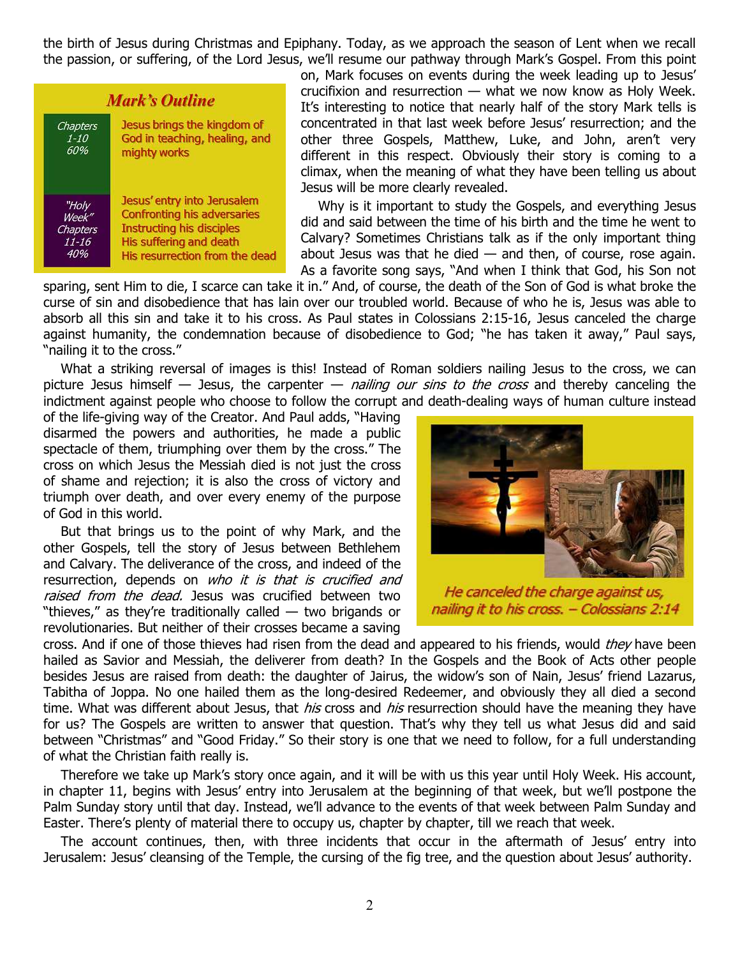the birth of Jesus during Christmas and Epiphany. Today, as we approach the season of Lent when we recall the passion, or suffering, of the Lord Jesus, we'll resume our pathway through Mark's Gospel. From this point

| <b>Mark's Outline</b> |                                    |
|-----------------------|------------------------------------|
| Chapters              | Jesus brings the kingdom of        |
| $1 - 10$              | God in teaching, healing, and      |
| 60%                   | mighty works                       |
| "Holy                 | Jesus' entry into Jerusalem        |
| Week"                 | <b>Confronting his adversaries</b> |
| <b>Chapters</b>       | <b>Instructing his disciples</b>   |
| $11 - 16$             | His suffering and death            |
| 40%                   | His resurrection from the dead     |

on, Mark focuses on events during the week leading up to Jesus' crucifixion and resurrection — what we now know as Holy Week. It's interesting to notice that nearly half of the story Mark tells is concentrated in that last week before Jesus' resurrection; and the other three Gospels, Matthew, Luke, and John, aren't very different in this respect. Obviously their story is coming to a climax, when the meaning of what they have been telling us about Jesus will be more clearly revealed.

Why is it important to study the Gospels, and everything Jesus did and said between the time of his birth and the time he went to Calvary? Sometimes Christians talk as if the only important thing about Jesus was that he died  $-$  and then, of course, rose again. As a favorite song says, "And when I think that God, his Son not

sparing, sent Him to die, I scarce can take it in." And, of course, the death of the Son of God is what broke the curse of sin and disobedience that has lain over our troubled world. Because of who he is, Jesus was able to absorb all this sin and take it to his cross. As Paul states in Colossians 2:15-16, Jesus canceled the charge against humanity, the condemnation because of disobedience to God; "he has taken it away," Paul says, "nailing it to the cross."

What a striking reversal of images is this! Instead of Roman soldiers nailing Jesus to the cross, we can picture Jesus himself — Jesus, the carpenter — *nailing our sins to the cross* and thereby canceling the indictment against people who choose to follow the corrupt and death-dealing ways of human culture instead

of the life-giving way of the Creator. And Paul adds, "Having disarmed the powers and authorities, he made a public spectacle of them, triumphing over them by the cross." The cross on which Jesus the Messiah died is not just the cross of shame and rejection; it is also the cross of victory and triumph over death, and over every enemy of the purpose of God in this world.

But that brings us to the point of why Mark, and the other Gospels, tell the story of Jesus between Bethlehem and Calvary. The deliverance of the cross, and indeed of the resurrection, depends on who it is that is crucified and raised from the dead. Jesus was crucified between two "thieves," as they're traditionally called — two brigands or revolutionaries. But neither of their crosses became a saving



He canceled the charge against us, nailing it to his cross. - Colossians 2:14

cross. And if one of those thieves had risen from the dead and appeared to his friends, would they have been hailed as Savior and Messiah, the deliverer from death? In the Gospels and the Book of Acts other people besides Jesus are raised from death: the daughter of Jairus, the widow's son of Nain, Jesus' friend Lazarus, Tabitha of Joppa. No one hailed them as the long-desired Redeemer, and obviously they all died a second time. What was different about Jesus, that *his* cross and *his* resurrection should have the meaning they have for us? The Gospels are written to answer that question. That's why they tell us what Jesus did and said between "Christmas" and "Good Friday." So their story is one that we need to follow, for a full understanding of what the Christian faith really is.

Therefore we take up Mark's story once again, and it will be with us this year until Holy Week. His account, in chapter 11, begins with Jesus' entry into Jerusalem at the beginning of that week, but we'll postpone the Palm Sunday story until that day. Instead, we'll advance to the events of that week between Palm Sunday and Easter. There's plenty of material there to occupy us, chapter by chapter, till we reach that week.

The account continues, then, with three incidents that occur in the aftermath of Jesus' entry into Jerusalem: Jesus' cleansing of the Temple, the cursing of the fig tree, and the question about Jesus' authority.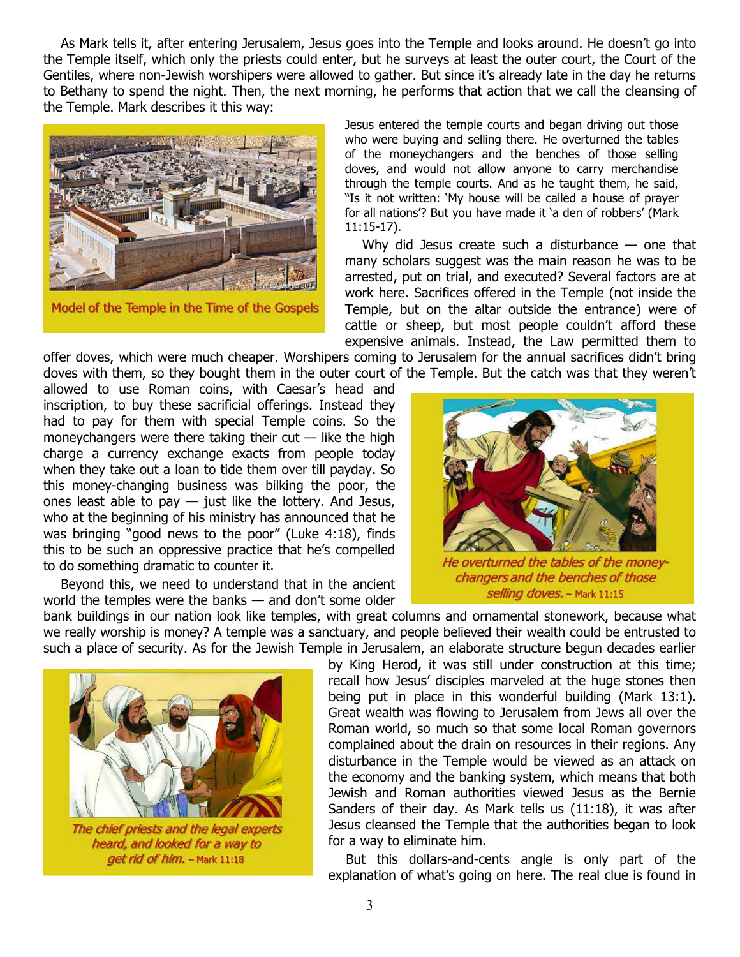As Mark tells it, after entering Jerusalem, Jesus goes into the Temple and looks around. He doesn't go into the Temple itself, which only the priests could enter, but he surveys at least the outer court, the Court of the Gentiles, where non-Jewish worshipers were allowed to gather. But since it's already late in the day he returns to Bethany to spend the night. Then, the next morning, he performs that action that we call the cleansing of the Temple. Mark describes it this way:



Model of the Temple in the Time of the Gospels

Jesus entered the temple courts and began driving out those who were buying and selling there. He overturned the tables of the moneychangers and the benches of those selling doves, and would not allow anyone to carry merchandise through the temple courts. And as he taught them, he said, "Is it not written: 'My house will be called a house of prayer for all nations'? But you have made it 'a den of robbers' (Mark 11:15-17).

Why did Jesus create such a disturbance  $-$  one that many scholars suggest was the main reason he was to be arrested, put on trial, and executed? Several factors are at work here. Sacrifices offered in the Temple (not inside the Temple, but on the altar outside the entrance) were of cattle or sheep, but most people couldn't afford these expensive animals. Instead, the Law permitted them to

offer doves, which were much cheaper. Worshipers coming to Jerusalem for the annual sacrifices didn't bring doves with them, so they bought them in the outer court of the Temple. But the catch was that they weren't

allowed to use Roman coins, with Caesar's head and inscription, to buy these sacrificial offerings. Instead they had to pay for them with special Temple coins. So the moneychangers were there taking their cut  $-$  like the high charge a currency exchange exacts from people today when they take out a loan to tide them over till payday. So this money-changing business was bilking the poor, the ones least able to pay  $-$  just like the lottery. And Jesus, who at the beginning of his ministry has announced that he was bringing "good news to the poor" (Luke 4:18), finds this to be such an oppressive practice that he's compelled to do something dramatic to counter it.

Beyond this, we need to understand that in the ancient world the temples were the banks — and don't some older



He overturned the tables of the moneychangers and the benches of those selling doves. - Mark 11:15

bank buildings in our nation look like temples, with great columns and ornamental stonework, because what we really worship is money? A temple was a sanctuary, and people believed their wealth could be entrusted to such a place of security. As for the Jewish Temple in Jerusalem, an elaborate structure begun decades earlier



The chief priests and the legal experts heard, and looked for a way to get rid of him. - Mark 11:18

by King Herod, it was still under construction at this time; recall how Jesus' disciples marveled at the huge stones then being put in place in this wonderful building (Mark 13:1). Great wealth was flowing to Jerusalem from Jews all over the Roman world, so much so that some local Roman governors complained about the drain on resources in their regions. Any disturbance in the Temple would be viewed as an attack on the economy and the banking system, which means that both Jewish and Roman authorities viewed Jesus as the Bernie Sanders of their day. As Mark tells us (11:18), it was after Jesus cleansed the Temple that the authorities began to look for a way to eliminate him.

But this dollars-and-cents angle is only part of the explanation of what's going on here. The real clue is found in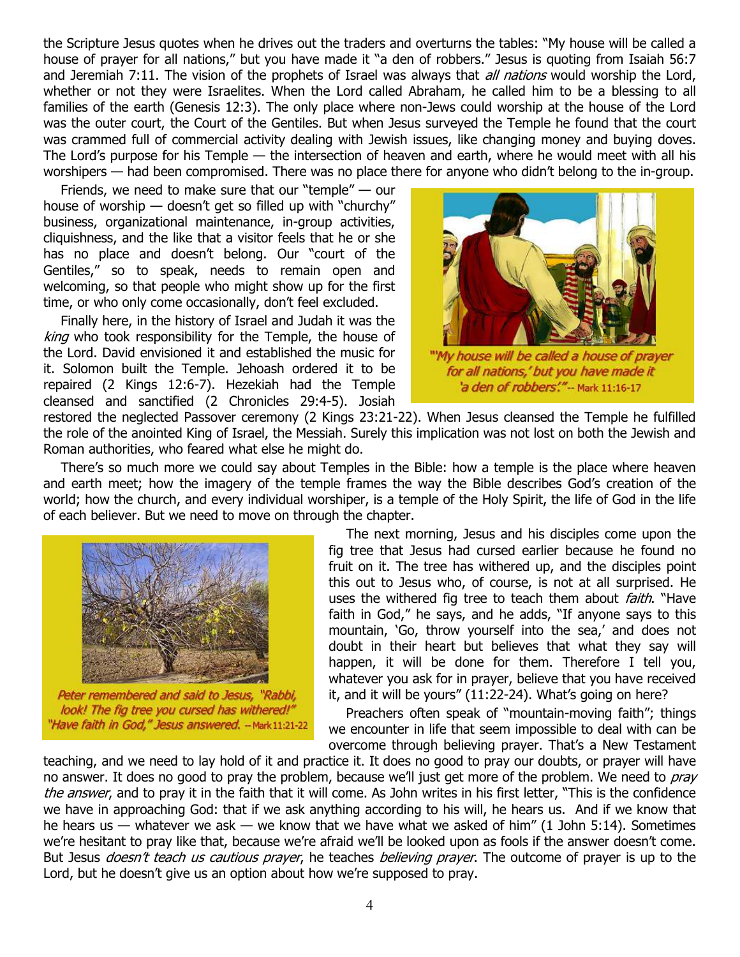the Scripture Jesus quotes when he drives out the traders and overturns the tables: "My house will be called a house of prayer for all nations," but you have made it "a den of robbers." Jesus is quoting from Isaiah 56:7 and Jeremiah 7:11. The vision of the prophets of Israel was always that *all nations* would worship the Lord, whether or not they were Israelites. When the Lord called Abraham, he called him to be a blessing to all families of the earth (Genesis 12:3). The only place where non-Jews could worship at the house of the Lord was the outer court, the Court of the Gentiles. But when Jesus surveyed the Temple he found that the court was crammed full of commercial activity dealing with Jewish issues, like changing money and buying doves. The Lord's purpose for his Temple — the intersection of heaven and earth, where he would meet with all his worshipers — had been compromised. There was no place there for anyone who didn't belong to the in-group.

Friends, we need to make sure that our "temple" — our house of worship — doesn't get so filled up with "churchy" business, organizational maintenance, in-group activities, cliquishness, and the like that a visitor feels that he or she has no place and doesn't belong. Our "court of the Gentiles," so to speak, needs to remain open and welcoming, so that people who might show up for the first time, or who only come occasionally, don't feel excluded.

Finally here, in the history of Israel and Judah it was the king who took responsibility for the Temple, the house of the Lord. David envisioned it and established the music for it. Solomon built the Temple. Jehoash ordered it to be repaired (2 Kings 12:6-7). Hezekiah had the Temple cleansed and sanctified (2 Chronicles 29:4-5). Josiah



"My house will be called a house of prayer for all nations,' but you have made it a den of robbers."-- Mark 11:16-17

restored the neglected Passover ceremony (2 Kings 23:21-22). When Jesus cleansed the Temple he fulfilled the role of the anointed King of Israel, the Messiah. Surely this implication was not lost on both the Jewish and Roman authorities, who feared what else he might do.

There's so much more we could say about Temples in the Bible: how a temple is the place where heaven and earth meet; how the imagery of the temple frames the way the Bible describes God's creation of the world; how the church, and every individual worshiper, is a temple of the Holy Spirit, the life of God in the life of each believer. But we need to move on through the chapter.



Peter remembered and said to Jesus, "Rabbi, look! The fig tree you cursed has withered!" "Have faith in God," Jesus answered. - Mark 11:21-22

The next morning, Jesus and his disciples come upon the fig tree that Jesus had cursed earlier because he found no fruit on it. The tree has withered up, and the disciples point this out to Jesus who, of course, is not at all surprised. He uses the withered fig tree to teach them about *faith*. "Have faith in God," he says, and he adds, "If anyone says to this mountain, 'Go, throw yourself into the sea,' and does not doubt in their heart but believes that what they say will happen, it will be done for them. Therefore I tell you, whatever you ask for in prayer, believe that you have received it, and it will be yours" (11:22-24). What's going on here?

Preachers often speak of "mountain-moving faith"; things we encounter in life that seem impossible to deal with can be overcome through believing prayer. That's a New Testament

teaching, and we need to lay hold of it and practice it. It does no good to pray our doubts, or prayer will have no answer. It does no good to pray the problem, because we'll just get more of the problem. We need to *pray* the answer, and to pray it in the faith that it will come. As John writes in his first letter, "This is the confidence we have in approaching God: that if we ask anything according to his will, he hears us. And if we know that he hears us — whatever we ask — we know that we have what we asked of him" (1 John 5:14). Sometimes we're hesitant to pray like that, because we're afraid we'll be looked upon as fools if the answer doesn't come. But Jesus *doesn't teach us cautious prayer*, he teaches *believing prayer*. The outcome of prayer is up to the Lord, but he doesn't give us an option about how we're supposed to pray.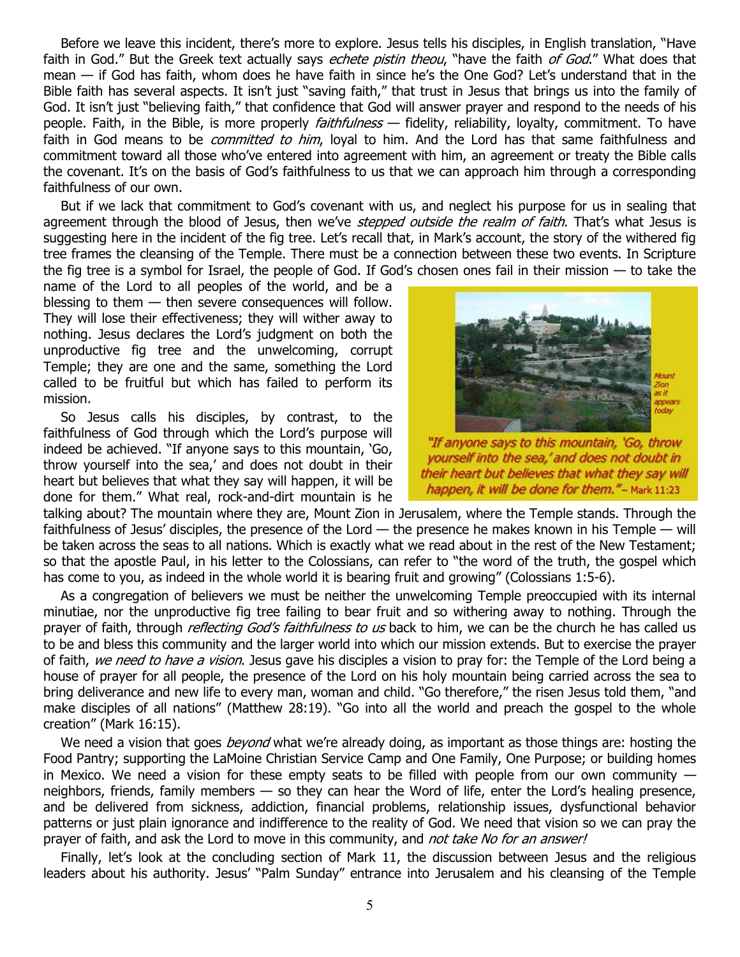Before we leave this incident, there's more to explore. Jesus tells his disciples, in English translation, "Have faith in God." But the Greek text actually says *echete pistin theou*, "have the faith of God." What does that mean — if God has faith, whom does he have faith in since he's the One God? Let's understand that in the Bible faith has several aspects. It isn't just "saving faith," that trust in Jesus that brings us into the family of God. It isn't just "believing faith," that confidence that God will answer prayer and respond to the needs of his people. Faith, in the Bible, is more properly *faithfulness* — fidelity, reliability, loyalty, commitment. To have faith in God means to be *committed to him*, loyal to him. And the Lord has that same faithfulness and commitment toward all those who've entered into agreement with him, an agreement or treaty the Bible calls the covenant. It's on the basis of God's faithfulness to us that we can approach him through a corresponding faithfulness of our own.

But if we lack that commitment to God's covenant with us, and neglect his purpose for us in sealing that agreement through the blood of Jesus, then we've *stepped outside the realm of faith*. That's what Jesus is suggesting here in the incident of the fig tree. Let's recall that, in Mark's account, the story of the withered fig tree frames the cleansing of the Temple. There must be a connection between these two events. In Scripture the fig tree is a symbol for Israel, the people of God. If God's chosen ones fail in their mission — to take the

name of the Lord to all peoples of the world, and be a blessing to them — then severe consequences will follow. They will lose their effectiveness; they will wither away to nothing. Jesus declares the Lord's judgment on both the unproductive fig tree and the unwelcoming, corrupt Temple; they are one and the same, something the Lord called to be fruitful but which has failed to perform its mission.

So Jesus calls his disciples, by contrast, to the faithfulness of God through which the Lord's purpose will indeed be achieved. "If anyone says to this mountain, 'Go, throw yourself into the sea,' and does not doubt in their heart but believes that what they say will happen, it will be done for them." What real, rock-and-dirt mountain is he



"If anyone says to this mountain, 'Go, throw yourself into the sea,' and does not doubt in their heart but believes that what they say will happen, it will be done for them." - Mark 11:23

talking about? The mountain where they are, Mount Zion in Jerusalem, where the Temple stands. Through the faithfulness of Jesus' disciples, the presence of the Lord — the presence he makes known in his Temple — will be taken across the seas to all nations. Which is exactly what we read about in the rest of the New Testament; so that the apostle Paul, in his letter to the Colossians, can refer to "the word of the truth, the gospel which has come to you, as indeed in the whole world it is bearing fruit and growing" (Colossians 1:5-6).

As a congregation of believers we must be neither the unwelcoming Temple preoccupied with its internal minutiae, nor the unproductive fig tree failing to bear fruit and so withering away to nothing. Through the prayer of faith, through *reflecting God's faithfulness to us* back to him, we can be the church he has called us to be and bless this community and the larger world into which our mission extends. But to exercise the prayer of faith, we need to have a vision. Jesus gave his disciples a vision to pray for: the Temple of the Lord being a house of prayer for all people, the presence of the Lord on his holy mountain being carried across the sea to bring deliverance and new life to every man, woman and child. "Go therefore," the risen Jesus told them, "and make disciples of all nations" (Matthew 28:19). "Go into all the world and preach the gospel to the whole creation" (Mark 16:15).

We need a vision that goes *beyond* what we're already doing, as important as those things are: hosting the Food Pantry; supporting the LaMoine Christian Service Camp and One Family, One Purpose; or building homes in Mexico. We need a vision for these empty seats to be filled with people from our own community  $$ neighbors, friends, family members — so they can hear the Word of life, enter the Lord's healing presence, and be delivered from sickness, addiction, financial problems, relationship issues, dysfunctional behavior patterns or just plain ignorance and indifference to the reality of God. We need that vision so we can pray the prayer of faith, and ask the Lord to move in this community, and *not take No for an answer!* 

Finally, let's look at the concluding section of Mark 11, the discussion between Jesus and the religious leaders about his authority. Jesus' "Palm Sunday" entrance into Jerusalem and his cleansing of the Temple